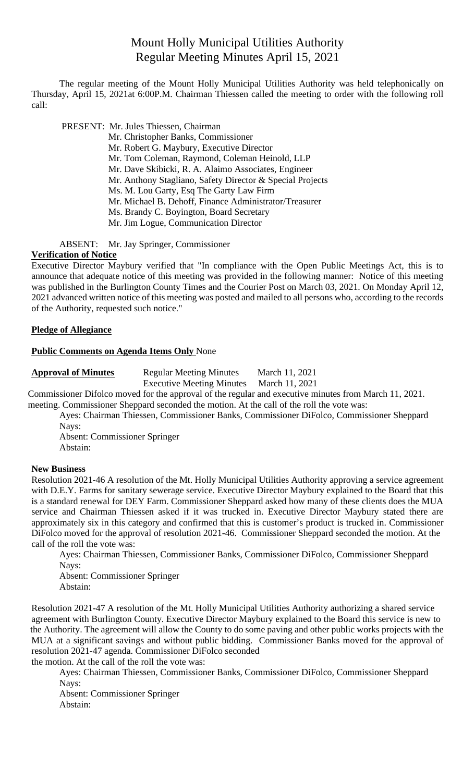# Mount Holly Municipal Utilities Authority Regular Meeting Minutes April 15, 2021

The regular meeting of the Mount Holly Municipal Utilities Authority was held telephonically on Thursday, April 15, 2021at 6:00P.M. Chairman Thiessen called the meeting to order with the following roll call:

PRESENT: Mr. Jules Thiessen, Chairman

- Mr. Christopher Banks, Commissioner
	- Mr. Robert G. Maybury, Executive Director
	- Mr. Tom Coleman, Raymond, Coleman Heinold, LLP
	- Mr. Dave Skibicki, R. A. Alaimo Associates, Engineer
	- Mr. Anthony Stagliano, Safety Director & Special Projects
- Ms. M. Lou Garty, Esq The Garty Law Firm
- Mr. Michael B. Dehoff, Finance Administrator/Treasurer
- Ms. Brandy C. Boyington, Board Secretary
- Mr. Jim Logue, Communication Director

ABSENT: Mr. Jay Springer, Commissioner

#### **Verification of Notice**

Executive Director Maybury verified that "In compliance with the Open Public Meetings Act, this is to announce that adequate notice of this meeting was provided in the following manner: Notice of this meeting was published in the Burlington County Times and the Courier Post on March 03, 2021. On Monday April 12, 2021 advanced written notice of this meeting was posted and mailed to all persons who, according to the records of the Authority, requested such notice."

## **Pledge of Allegiance**

#### **Public Comments on Agenda Items Only** None

| <b>Approval of Minutes</b> |  |  |  |  |  |
|----------------------------|--|--|--|--|--|
|----------------------------|--|--|--|--|--|

**Regular Meeting Minutes March 11, 2021** 

Executive Meeting Minutes March 11, 2021

Commissioner Difolco moved for the approval of the regular and executive minutes from March 11, 2021. meeting. Commissioner Sheppard seconded the motion. At the call of the roll the vote was:

Ayes: Chairman Thiessen, Commissioner Banks, Commissioner DiFolco, Commissioner Sheppard Nays:

Absent: Commissioner Springer Abstain:

#### **New Business**

Resolution 2021-46 A resolution of the Mt. Holly Municipal Utilities Authority approving a service agreement with D.E.Y. Farms for sanitary sewerage service. Executive Director Maybury explained to the Board that this is a standard renewal for DEY Farm. Commissioner Sheppard asked how many of these clients does the MUA service and Chairman Thiessen asked if it was trucked in. Executive Director Maybury stated there are approximately six in this category and confirmed that this is customer's product is trucked in. Commissioner DiFolco moved for the approval of resolution 2021-46. Commissioner Sheppard seconded the motion. At the call of the roll the vote was:

Ayes: Chairman Thiessen, Commissioner Banks, Commissioner DiFolco, Commissioner Sheppard Nays:

Absent: Commissioner Springer Abstain:

Resolution 2021-47 A resolution of the Mt. Holly Municipal Utilities Authority authorizing a shared service agreement with Burlington County. Executive Director Maybury explained to the Board this service is new to the Authority. The agreement will allow the County to do some paving and other public works projects with the MUA at a significant savings and without public bidding. Commissioner Banks moved for the approval of resolution 2021-47 agenda. Commissioner DiFolco seconded

the motion. At the call of the roll the vote was:

Ayes: Chairman Thiessen, Commissioner Banks, Commissioner DiFolco, Commissioner Sheppard Nays:

Absent: Commissioner Springer Abstain: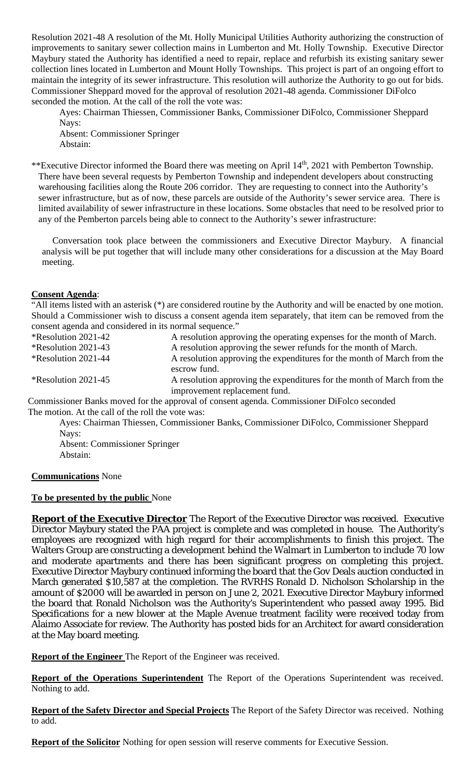Resolution 2021-48 A resolution of the Mt. Holly Municipal Utilities Authority authorizing the construction of improvements to sanitary sewer collection mains in Lumberton and Mt. Holly Township. Executive Director Maybury stated the Authority has identified a need to repair, replace and refurbish its existing sanitary sewer collection lines located in Lumberton and Mount Holly Townships. This project is part of an ongoing effort to maintain the integrity of its sewer infrastructure. This resolution will authorize the Authority to go out for bids. Commissioner Sheppard moved for the approval of resolution 2021-48 agenda. Commissioner DiFolco seconded the motion. At the call of the roll the vote was:

Ayes: Chairman Thiessen, Commissioner Banks, Commissioner DiFolco, Commissioner Sheppard Nays:

Absent: Commissioner Springer Abstain:

\*\*Executive Director informed the Board there was meeting on April 14<sup>th</sup>, 2021 with Pemberton Township. There have been several requests by Pemberton Township and independent developers about constructing warehousing facilities along the Route 206 corridor. They are requesting to connect into the Authority's sewer infrastructure, but as of now, these parcels are outside of the Authority's sewer service area. There is limited availability of sewer infrastructure in these locations. Some obstacles that need to be resolved prior to any of the Pemberton parcels being able to connect to the Authority's sewer infrastructure:

Conversation took place between the commissioners and Executive Director Maybury. A financial analysis will be put together that will include many other considerations for a discussion at the May Board meeting.

#### **Consent Agenda**:

"All items listed with an asterisk (\*) are considered routine by the Authority and will be enacted by one motion. Should a Commissioner wish to discuss a consent agenda item separately, that item can be removed from the consent agenda and considered in its normal sequence."

| *Resolution 2021-42                               | A resolution approving the operating expenses for the month of March.                                    |
|---------------------------------------------------|----------------------------------------------------------------------------------------------------------|
| <i><b>*Resolution 2021-43</b></i>                 | A resolution approving the sewer refunds for the month of March.                                         |
| <i><b>*Resolution 2021-44</b></i>                 | A resolution approving the expenditures for the month of March from the<br>escrow fund.                  |
| <i>*</i> Resolution 2021-45                       | A resolution approving the expenditures for the month of March from the<br>improvement replacement fund. |
|                                                   | Commissioner Banks moved for the approval of consent agenda. Commissioner DiFolco seconded               |
| The motion. At the call of the roll the vote was: |                                                                                                          |

Ayes: Chairman Thiessen, Commissioner Banks, Commissioner DiFolco, Commissioner Sheppard Nays:

Absent: Commissioner Springer Abstain:

## **Communications** None

## **To be presented by the public** None

**Report of the Executive Director** The Report of the Executive Director was received. Executive Director Maybury stated the PAA project is complete and was completed in house. The Authority's employees are recognized with high regard for their accomplishments to finish this project. The Walters Group are constructing a development behind the Walmart in Lumberton to include 70 low and moderate apartments and there has been significant progress on completing this project. Executive Director Maybury continued informing the board that the Gov Deals auction conducted in March generated \$10,587 at the completion. The RVRHS Ronald D. Nicholson Scholarship in the amount of \$2000 will be awarded in person on June 2, 2021. Executive Director Maybury informed the board that Ronald Nicholson was the Authority's Superintendent who passed away 1995. Bid Specifications for a new blower at the Maple Avenue treatment facility were received today from Alaimo Associate for review. The Authority has posted bids for an Architect for award consideration at the May board meeting.

**Report of the Engineer** The Report of the Engineer was received.

**Report of the Operations Superintendent** The Report of the Operations Superintendent was received. Nothing to add.

**Report of the Safety Director and Special Projects** The Report of the Safety Director was received. Nothing to add.

**Report of the Solicitor** Nothing for open session will reserve comments for Executive Session.